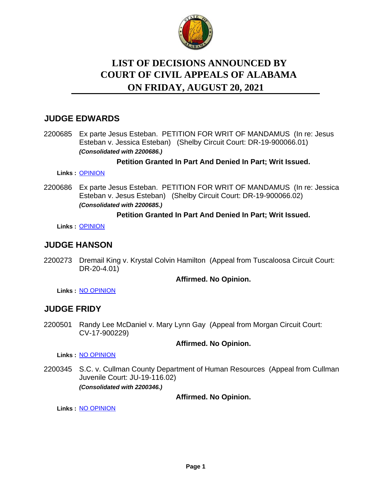

# **LIST OF DECISIONS ANNOUNCED BY ON FRIDAY, AUGUST 20, 2021 COURT OF CIVIL APPEALS OF ALABAMA**

# **JUDGE EDWARDS**

2200685 Ex parte Jesus Esteban. PETITION FOR WRIT OF MANDAMUS (In re: Jesus Esteban v. Jessica Esteban) (Shelby Circuit Court: DR-19-900066.01) *(Consolidated with 2200686.)*

### **Petition Granted In Part And Denied In Part; Writ Issued.**

**Links :** [OPINION](https://acis.alabama.gov/displaydocs.cfm?no=1093230&event=64J0K5QAC)

2200686 Ex parte Jesus Esteban. PETITION FOR WRIT OF MANDAMUS (In re: Jessica Esteban v. Jesus Esteban) (Shelby Circuit Court: DR-19-900066.02) *(Consolidated with 2200685.)*

#### **Petition Granted In Part And Denied In Part; Writ Issued.**

**Links :** [OPINION](https://acis.alabama.gov/displaydocs.cfm?no=1093230&event=64J0K5QAC)

# **JUDGE HANSON**

2200273 Dremail King v. Krystal Colvin Hamilton (Appeal from Tuscaloosa Circuit Court: DR-20-4.01)

#### **Affirmed. No Opinion.**

**Links :** [NO OPINION](https://acis.alabama.gov/displaydocs.cfm?no=1093231&event=64J0K5QOH)

### **JUDGE FRIDY**

2200501 Randy Lee McDaniel v. Mary Lynn Gay (Appeal from Morgan Circuit Court: CV-17-900229)

#### **Affirmed. No Opinion.**

**Links :** [NO OPINION](https://acis.alabama.gov/displaydocs.cfm?no=1093233&event=64J0K5QUU)

2200345 S.C. v. Cullman County Department of Human Resources (Appeal from Cullman Juvenile Court: JU-19-116.02) *(Consolidated with 2200346.)*

**Affirmed. No Opinion.**

**Links :** [NO OPINION](https://acis.alabama.gov/displaydocs.cfm?no=1093232&event=64J0K5QQM)